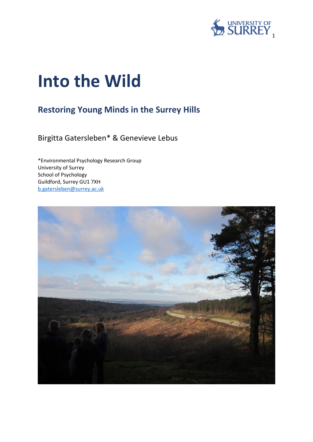

# **Into the Wild**

## **Restoring Young Minds in the Surrey Hills**

Birgitta Gatersleben\* & Genevieve Lebus

\*Environmental Psychology Research Group University of Surrey School of Psychology Guildford, Surrey GU1 7XH [b.gatersleben@surrey.ac.uk](mailto:b.gatersleben@surrey.ac.uk)

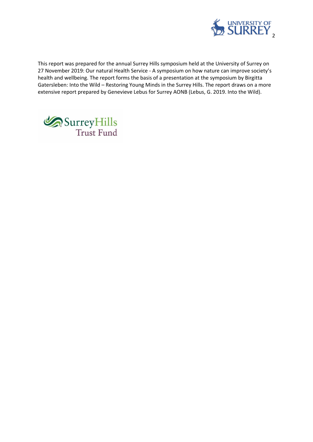

This report was prepared for the annual Surrey Hills symposium held at the University of Surrey on 27 November 2019: Our natural Health Service - A symposium on how nature can improve society's health and wellbeing. The report forms the basis of a presentation at the symposium by Birgitta Gatersleben: Into the Wild – Restoring Young Minds in the Surrey Hills. The report draws on a more extensive report prepared by Genevieve Lebus for Surrey AONB (Lebus, G. 2019. Into the Wild).

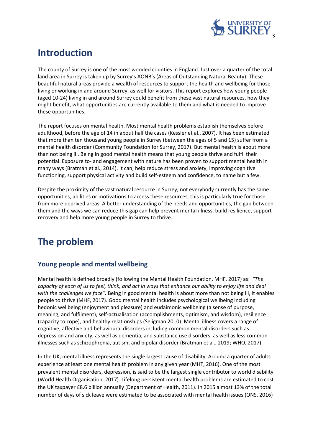

## **Introduction**

The county of Surrey is one of the most wooded counties in England. Just over a quarter of the total land area in Surrey is taken up by Surrey's AONB's (Areas of Outstanding Natural Beauty). These beautiful natural areas provide a wealth of resources to support the health and wellbeing for those living or working in and around Surrey, as well for visitors. This report explores how young people (aged 10-24) living in and around Surrey could benefit from these vast natural resources, how they might benefit, what opportunities are currently available to them and what is needed to improve these opportunities.

The report focuses on mental health. Most mental health problems establish themselves before adulthood, before the age of 14 in about half the cases (Kessler et al., 2007). It has been estimated that more than ten thousand young people in Surrey (between the ages of 5 and 15) suffer from a mental health disorder (Community Foundation for Surrey, 2017). But mental health is about more than not being ill. Being in good mental health means that young people thrive and fulfil their potential. Exposure to- and engagement with nature has been proven to support mental health in many ways (Bratman et al., 2014). It can, help reduce stress and anxiety, improving cognitive functioning, support physical activity and build self-esteem and confidence, to name but a few.

Despite the proximity of the vast natural resource in Surrey, not everybody currently has the same opportunities, abilities or motivations to access these resources, this is particularly true for those from more deprived areas. A better understanding of the needs and opportunities, the gap between them and the ways we can reduce this gap can help prevent mental illness, build resilience, support recovery and help more young people in Surrey to thrive.

## **The problem**

#### **Young people and mental wellbeing**

Mental health is defined broadly (following the Mental Health Foundation, MHF, 2017) as: *"The capacity of each of us to feel, think, and act in ways that enhance our ability to enjoy life and deal with the challenges we face".* Being in good mental health is about more than not being ill, it enables people to thrive (MHF, 2017). Good mental health includes psychological wellbeing including hedonic wellbeing (enjoyment and pleasure) and eudaimonic wellbeing (a sense of purpose, meaning, and fulfilment), self-actualisation (accomplishments, optimism, and wisdom), resilience (capacity to cope), and healthy relationships (Seligman 2010). Mental illness covers a range of cognitive, affective and behavioural disorders including common mental disorders such as depression and anxiety, as well as dementia, and substance use disorders, as well as less common illnesses such as schizophrenia, autism, and bipolar disorder (Bratman et al., 2019; WHO, 2017).

In the UK, mental illness represents the single largest cause of disability. Around a quarter of adults experience at least one mental health problem in any given year (MHT, 2016). One of the most prevalent mental disorders, depression, is said to be the largest single contributor to world disability (World Health Organisation, 2017). Lifelong persistent mental health problems are estimated to cost the UK taxpayer £8.6 billion annually (Department of Health, 2011). In 2015 almost 13% of the total number of days of sick leave were estimated to be associated with mental health issues (ONS, 2016)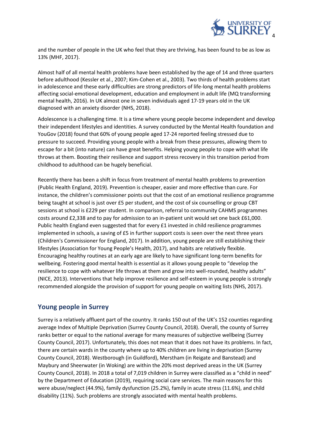

and the number of people in the UK who feel that they are thriving, has been found to be as low as 13% (MHF, 2017).

Almost half of all mental health problems have been established by the age of 14 and three quarters before adulthood (Kessler et al., 2007; Kim-Cohen et al., 2003). Two thirds of health problems start in adolescence and these early difficulties are strong predictors of life-long mental health problems affecting social-emotional development, education and employment in adult life (MQ transforming mental health, 2016). In UK almost one in seven individuals aged 17-19 years old in the UK diagnosed with an anxiety disorder (NHS, 2018).

Adolescence is a challenging time. It is a time where young people become independent and develop their independent lifestyles and identities. A survey conducted by the Mental Health foundation and YouGov (2018) found that 60% of young people aged 17-24 reported feeling stressed due to pressure to succeed. Providing young people with a break from these pressures, allowing them to escape for a bit (into nature) can have great benefits. Helping young people to cope with what life throws at them. Boosting their resilience and support stress recovery in this transition period from childhood to adulthood can be hugely beneficial.

Recently there has been a shift in focus from treatment of mental health problems to prevention (Public Health England, 2019). Prevention is cheaper, easier and more effective than cure. For instance, the children's commissioner points out that the cost of an emotional resilience programme being taught at school is just over £5 per student, and the cost of six counselling or group CBT sessions at school is £229 per student. In comparison, referral to community CAHMS programmes costs around £2,338 and to pay for admission to an in-patient unit would set one back £61,000. Public health England even suggested that for every £1 invested in child resilience programmes implemented in schools, a saving of £5 in further support costs is seen over the next three years (Children's Commissioner for England, 2017). In addition, young people are still establishing their lifestyles (Association for Young People's Health, 2017), and habits are relatively flexible. Encouraging healthy routines at an early age are likely to have significant long-term benefits for wellbeing. Fostering good mental health is essential as it allows young people to "develop the resilience to cope with whatever life throws at them and grow into well-rounded, healthy adults" (NICE, 2013). Interventions that help improve resilience and self-esteem in young people is strongly recommended alongside the provision of support for young people on waiting lists (NHS, 2017).

#### **Young people in Surrey**

Surrey is a relatively affluent part of the country. It ranks 150 out of the UK's 152 counties regarding average Index of Multiple Deprivation (Surrey County Council, 2018). Overall, the county of Surrey ranks better or equal to the national average for many measures of subjective wellbeing (Surrey County Council, 2017). Unfortunately, this does not mean that it does not have its problems. In fact, there are certain wards in the county where up to 40% children are living in deprivation (Surrey County Council, 2018). Westborough (in Guildford), Merstham (in Reigate and Banstead) and Maybury and Sheerwater (in Woking) are within the 20% most deprived areas in the UK (Surrey County Council, 2018). In 2018 a total of 7,019 children in Surrey were classified as a "child in need" by the Department of Education (2019), requiring social care services. The main reasons for this were abuse/neglect (44.9%), family dysfunction (25.2%), family in acute stress (11.6%), and child disability (11%). Such problems are strongly associated with mental health problems.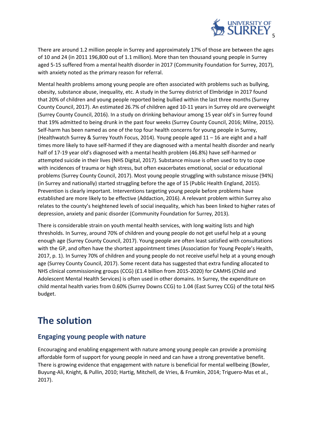

There are around 1.2 million people in Surrey and approximately 17% of those are between the ages of 10 and 24 (in 2011 196,800 out of 1.1 million). More than ten thousand young people in Surrey aged 5-15 suffered from a mental health disorder in 2017 (Community Foundation for Surrey, 2017), with anxiety noted as the primary reason for referral.

Mental health problems among young people are often associated with problems such as bullying, obesity, substance abuse, inequality, etc. A study in the Surrey district of Elmbridge in 2017 found that 20% of children and young people reported being bullied within the last three months (Surrey County Council, 2017). An estimated 26.7% of children aged 10-11 years in Surrey old are overweight (Surrey County Council, 2016). In a study on drinking behaviour among 15 year old's in Surrey found that 19% admitted to being drunk in the past four weeks (Surrey County Council, 2016; Milne, 2015). Self-harm has been named as one of the top four health concerns for young people in Surrey, (Healthwatch Surrey & Surrey Youth Focus, 2014). Young people aged 11 – 16 are eight and a half times more likely to have self-harmed if they are diagnosed with a mental health disorder and nearly half of 17-19 year old's diagnosed with a mental health problem (46.8%) have self-harmed or attempted suicide in their lives (NHS Digital, 2017). Substance misuse is often used to try to cope with incidences of trauma or high stress, but often exacerbates emotional, social or educational problems (Surrey County Council, 2017). Most young people struggling with substance misuse (94%) (in Surrey and nationally) started struggling before the age of 15 (Public Health England, 2015). Prevention is clearly important. Interventions targeting young people before problems have established are more likely to be effective (Addaction, 2016). A relevant problem within Surrey also relates to the county's heightened levels of social inequality, which has been linked to higher rates of depression, anxiety and panic disorder (Community Foundation for Surrey, 2013).

There is considerable strain on youth mental health services, with long waiting lists and high thresholds. In Surrey, around 70% of children and young people do not get useful help at a young enough age (Surrey County Council, 2017). Young people are often least satisfied with consultations with the GP, and often have the shortest appointment times (Association for Young People's Health, 2017, p. 1). In Surrey 70% of children and young people do not receive useful help at a young enough age (Surrey County Council, 2017). Some recent data has suggested that extra funding allocated to NHS clinical commissioning groups (CCG) (£1.4 billion from 2015-2020) for CAMHS (Child and Adolescent Mental Health Services) is often used in other domains. In Surrey, the expenditure on child mental health varies from 0.60% (Surrey Downs CCG) to 1.04 (East Surrey CCG) of the total NHS budget.

## **The solution**

#### **Engaging young people with nature**

Encouraging and enabling engagement with nature among young people can provide a promising affordable form of support for young people in need and can have a strong preventative benefit. There is growing evidence that engagement with nature is beneficial for mental wellbeing (Bowler, Buyung-Ali, Knight, & Pullin, 2010; Hartig, Mitchell, de Vries, & Frumkin, 2014; Triguero-Mas et al., 2017).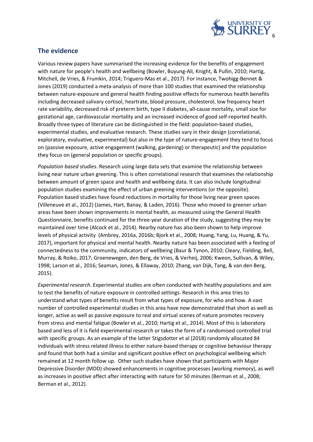

#### **The evidence**

Various review papers have summarised the increasing evidence for the benefits of engagement with nature for people's health and wellbeing (Bowler, Buyung-Ali, Knight, & Pullin, 2010; Hartig, Mitchell, de Vries, & Frumkin, 2014; Triguero-Mas et al., 2017). For instance, Twohigg-Bennet & Jones (2019) conducted a meta-analysis of more than 100 studies that examined the relationship between nature-exposure and general health finding positive effects for numerous health benefits including decreased salivary cortisol, heartrate, blood pressure, cholesterol, low frequency heart rate variability, decreased risk of preterm birth, type II diabetes, all-cause mortality, small size for gestational age, cardiovascular mortality and an increased incidence of good self-reported health. Broadly three types of literature can be distinguished in the field: population-based studies, experimental studies, and evaluative research. These studies vary in their design (correlational, exploratory, evaluative, experimental) but also in the type of nature-engagement they tend to focus on (passive exposure, active engagement (walking, gardening) or therapeutic) and the population they focus on (general population or specific groups).

*Population based studies*. Research using large data sets that examine the relationship between living near nature urban greening. This is often correlational research that examines the relationship between amount of green space and health and wellbeing data. It can also include longitudinal population studies examining the effect of urban greening interventions (or the opposite). Population based studies have found reductions in mortality for those living near green spaces (Villeneuve et al., 2012) (James, Hart, Banay, & Laden, 2016). Those who moved to greener urban areas have been shown improvements in mental health, as measured using the General Health Questionnaire, benefits continued for the three-year duration of the study, suggesting they may be maintained over time (Alcock et al., 2014). Nearby nature has also been shown to help improve levels of physical activity (Ambrey, 2016a, 2016b; Bjork et al., 2008; Huang, Yang, Lu, Huang, & Yu, 2017), important for physical and mental health. Nearby nature has been associated with a feeling of connectedness to the community, indicators of wellbeing (Baur & Tynon, 2010; Cleary, Fielding, Bell, Murray, & Roiko, 2017; Groenewegen, den Berg, de Vries, & Verheij, 2006; Kweon, Sullivan, & Wiley, 1998; Larson et al., 2016; Seaman, Jones, & Ellaway, 2010; Zhang, van Dijk, Tang, & van den Berg, 2015).

*Experimental research.* Experimental studies are often conducted with healthy populations and aim to test the benefits of nature exposure in controlled settings. Research in this area tries to understand what types of benefits result from what types of exposure, for who and how. A vast number of controlled experimental studies in this area have now demonstrated that short as well as longer, active as well as passive exposure to real and virtual scenes of nature promotes recovery from stress and mental fatigue (Bowler et al., 2010; Hartig et al., 2014). Most of this is laboratory based and less of it is field experimental research or takes the form of a randomised controlled trial with specific groups. As an example of the latter Stigsdotter et al (2018) randomly allocated 84 individuals with stress related illness to either nature-based therapy or cognitive behaviour therapy and found that both had a similar and significant positive effect on psychological wellbeing which remained at 12 month follow up. Other such studies have shown that participants with Major Depressive Disorder (MDD) showed enhancements in cognitive processes (working memory), as well as increases in positive affect after interacting with nature for 50 minutes (Berman et al., 2008; Berman et al., 2012).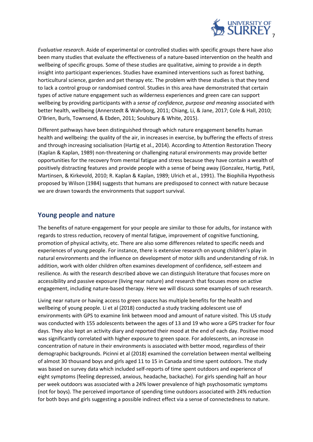

*Evaluative research*. Aside of experimental or controlled studies with specific groups there have also been many studies that evaluate the effectiveness of a nature-based intervention on the health and wellbeing of specific groups. Some of these studies are qualitative, aiming to provide a in depth insight into participant experiences. Studies have examined interventions such as forest bathing, horticultural science, garden and pet therapy etc. The problem with these studies is that they tend to lack a control group or randomised control. Studies in this area have demonstrated that certain types of active nature engagement such as wilderness experiences and green care can support wellbeing by providing participants with a *sense of confidence, purpose and meaning* associated with better health, wellbeing (Annerstedt & Wahrborg, 2011; Chiang, Li, & Jane, 2017; Cole & Hall, 2010; O'Brien, Burls, Townsend, & Ebden, 2011; Soulsbury & White, 2015).

Different pathways have been distinguished through which nature engagement benefits human health and wellbeing: the quality of the air, in increases in exercise, by buffering the effects of stress and through increasing socialisation (Hartig et al., 2014). According to Attention Restoration Theory (Kaplan & Kaplan, 1989) non-threatening or challenging natural environments may provide better opportunities for the recovery from mental fatigue and stress because they have contain a wealth of positively distracting features and provide people with a sense of being away (Gonzalez, Hartig, Patil, Martinsen, & Kirkevold, 2010; R. Kaplan & Kaplan, 1989; Ulrich et al., 1991). The Biophilia Hypothesis proposed by Wilson (1984) suggests that humans are predisposed to connect with nature because we are drawn towards the environments that support survival.

#### **Young people and nature**

The benefits of nature-engagement for your people are similar to those for adults, for instance with regards to stress reduction, recovery of mental fatigue, improvement of cognitive functioning, promotion of physical activity, etc. There are also some differences related to specific needs and experiences of young people. For instance, there is extensive research on young children's play in natural environments and the influence on development of motor skills and understanding of risk. In addition, work with older children often examines development of confidence, self-esteem and resilience. As with the research described above we can distinguish literature that focuses more on accessibility and passive exposure (living near nature) and research that focuses more on active engagement, including nature-based therapy. Here we will discuss some examples of such research.

Living near nature or having access to green spaces has multiple benefits for the health and wellbeing of young people. Li et al (2018) conducted a study tracking adolescent use of environments with GPS to examine link between mood and amount of nature visited. This US study was conducted with 155 adolescents between the ages of 13 and 19 who wore a GPS tracker for four days. They also kept an activity diary and reported their mood at the end of each day. Positive mood was significantly correlated with higher exposure to green space. For adolescents, an increase in concentration of nature in their environments is associated with better mood, regardless of their demographic backgrounds. Picinni et al (2018) examined the correlation between mental wellbeing of almost 30 thousand boys and girls aged 11 to 15 in Canada and time spent outdoors. The study was based on survey data which included self-reports of time spent outdoors and experience of eight symptoms (feeling depressed, anxious, headache, backache). For girls spending half an hour per week outdoors was associated with a 24% lower prevalence of high psychosomatic symptoms (not for boys). The perceived importance of spending time outdoors associated with 24% reduction for both boys and girls suggesting a possible indirect effect via a sense of connectedness to nature.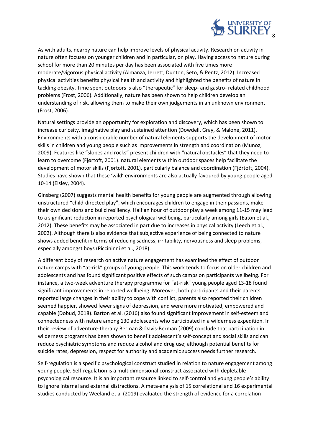

As with adults, nearby nature can help improve levels of physical activity. Research on activity in nature often focuses on younger children and in particular, on play. Having access to nature during school for more than 20 minutes per day has been associated with five times more moderate/vigorous physical activity (Almanza, Jerrett, Dunton, Seto, & Pentz, 2012). Increased physical activities benefits physical health and activity and highlighted the benefits of nature in tackling obesity. Time spent outdoors is also "therapeutic" for sleep- and gastro- related childhood problems (Frost, 2006). Additionally, nature has been shown to help children develop an understanding of risk, allowing them to make their own judgements in an unknown environment (Frost, 2006).

Natural settings provide an opportunity for exploration and discovery, which has been shown to increase curiosity, imaginative play and sustained attention (Dowdell, Gray, & Malone, 2011). Environments with a considerable number of natural elements supports the development of motor skills in children and young people such as improvements in strength and coordination (Munoz, 2009). Features like "slopes and rocks" present children with "natural obstacles" that they need to learn to overcome (Fjørtoft, 2001). natural elements within outdoor spaces help facilitate the development of motor skills (Fjørtoft, 2001), particularly balance and coordination (Fjørtoft, 2004). Studies have shown that these 'wild' environments are also actually favoured by young people aged 10-14 (Elsley, 2004).

Ginsberg (2007) suggests mental health benefits for young people are augmented through allowing unstructured "child-directed play", which encourages children to engage in their passions, make their own decisions and build resiliency. Half an hour of outdoor play a week among 11-15 may lead to a significant reduction in reported psychological wellbeing, particularly among girls (Eaton et al., 2012). These benefits may be associated in part due to increases in physical activity (Leech et al., 2002). Although there is also evidence that subjective experience of being connected to nature shows added benefit in terms of reducing sadness, irritability, nervousness and sleep problems, especially amongst boys (Piccininni et al., 2018).

A different body of research on active nature engagement has examined the effect of outdoor nature camps with "at-risk" groups of young people. This work tends to focus on older children and adolescents and has found significant positive effects of such camps on participants wellbeing. For instance, a two-week adventure therapy programme for "at-risk" young people aged 13-18 found significant improvements in reported wellbeing. Moreover, both participants and their parents reported large changes in their ability to cope with conflict, parents also reported their children seemed happier, showed fewer signs of depression, and were more motivated, empowered and capable (Dobud, 2018). Barton et al. (2016) also found significant improvement in self-esteem and connectedness with nature among 130 adolescents who participated in a wilderness expedition. In their review of adventure-therapy Berman & Davis-Berman (2009) conclude that participation in wilderness programs has been shown to benefit adolescent's self-concept and social skills and can reduce psychiatric symptoms and reduce alcohol and drug use; although potential benefits for suicide rates, depression, respect for authority and academic success needs further research.

Self-regulation is a specific psychological construct studied in relation to nature engagement among young people. Self-regulation is a multidimensional construct associated with depletable psychological resource. It is an important resource linked to self-control and young people's ability to ignore internal and external distractions. A meta-analysis of 15 correlational and 16 experimental studies conducted by Weeland et al (2019) evaluated the strength of evidence for a correlation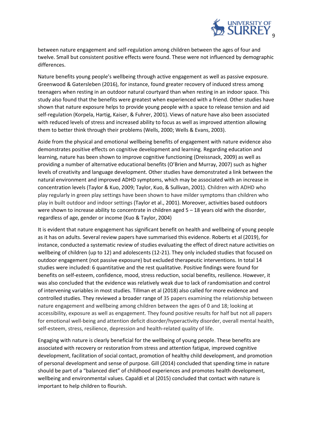

between nature engagement and self-regulation among children between the ages of four and twelve. Small but consistent positive effects were found. These were not influenced by demographic differences.

Nature benefits young people's wellbeing through active engagement as well as passive exposure. Greenwood & Gatersleben (2016), for instance, found greater recovery of induced stress among teenagers when resting in an outdoor natural courtyard than when resting in an indoor space. This study also found that the benefits were greatest when experienced with a friend. Other studies have shown that nature exposure helps to provide young people with a space to release tension and aid self-regulation (Korpela, Hartig, Kaiser, & Fuhrer, 2001). Views of nature have also been associated with reduced levels of stress and increased ability to focus as well as improved attention allowing them to better think through their problems (Wells, 2000; Wells & Evans, 2003).

Aside from the physical and emotional wellbeing benefits of engagement with nature evidence also demonstrates positive effects on cognitive development and learning. Regarding education and learning, nature has been shown to improve cognitive functioning (Dreissnack, 2009) as well as providing a number of alternative educational benefits (O'Brien and Murray, 2007) such as higher levels of creativity and language development. Other studies have demonstrated a link between the natural environment and improved ADHD symptoms, which may be associated with an increase in concentration levels (Taylor & Kuo, 2009; Taylor, Kuo, & Sullivan, 2001). Children with ADHD who play regularly in green play settings have been shown to have milder symptoms than children who play in built outdoor and indoor settings (Taylor et al., 2001). Moreover, activities based outdoors were shown to increase ability to concentrate in children aged 5 – 18 years old with the disorder, regardless of age, gender or income (Kuo & Taylor, 2004)

It is evident that nature engagement has significant benefit on health and wellbeing of young people as it has on adults. Several review papers have summarised this evidence. Roberts et al (2019), for instance, conducted a systematic review of studies evaluating the effect of direct nature activities on wellbeing of children (up to 12) and adolescents (12-21). They only included studies that focused on outdoor engagement (not passive exposure) but excluded therapeutic interventions. In total 14 studies were included: 6 quantitative and the rest qualitative. Positive findings were found for benefits on self-esteem, confidence, mood, stress reduction, social benefits, resilience. However, it was also concluded that the evidence was relatively weak due to lack of randomisation and control of intervening variables in most studies. Tillman et al (2018) also called for more evidence and controlled studies. They reviewed a broader range of 35 papers examining the relationship between nature engagement and wellbeing among children between the ages of 0 and 18; looking at accessibility, exposure as well as engagement. They found positive results for half but not all papers for emotional well-being and attention deficit disorder/hyperactivity disorder, overall mental health, self-esteem, stress, resilience, depression and health-related quality of life.

Engaging with nature is clearly beneficial for the wellbeing of young people. These benefits are associated with recovery or restoration from stress and attention fatigue, improved cognitive development, facilitation of social contact, promotion of healthy child development, and promotion of personal development and sense of purpose. Gill (2014) concluded that spending time in nature should be part of a "balanced diet" of childhood experiences and promotes health development, wellbeing and environmental values. Capaldi et al (2015) concluded that contact with nature is important to help children to flourish.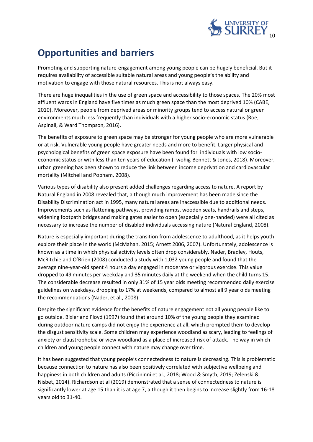

# **Opportunities and barriers**

Promoting and supporting nature-engagement among young people can be hugely beneficial. But it requires availability of accessible suitable natural areas and young people's the ability and motivation to engage with those natural resources. This is not always easy.

There are huge inequalities in the use of green space and accessibility to those spaces. The 20% most affluent wards in England have five times as much green space than the most deprived 10% (CABE, 2010). Moreover, people from deprived areas or minority groups tend to access natural or green environments much less frequently than individuals with a higher socio-economic status (Roe, Aspinall, & Ward Thompson, 2016).

The benefits of exposure to green space may be stronger for young people who are more vulnerable or at risk. Vulnerable young people have greater needs and more to benefit. Larger physical and psychological benefits of green space exposure have been found for individuals with low socioeconomic status or with less than ten years of education (Twohig-Bennett & Jones, 2018). Moreover, urban greening has been shown to reduce the link between income deprivation and cardiovascular mortality (Mitchell and Popham, 2008).

Various types of disability also present added challenges regarding access to nature. A report by Natural England in 2008 revealed that, although much improvement has been made since the Disability Discrimination act in 1995, many natural areas are inaccessible due to additional needs. Improvements such as flattening pathways, providing ramps, wooden seats, handrails and steps, widening footpath bridges and making gates easier to open (especially one-handed) were all cited as necessary to increase the number of disabled individuals accessing nature (Natural England, 2008).

Nature is especially important during the transition from adolescence to adulthood, as it helps youth explore their place in the world (McMahan, 2015; Arnett 2006, 2007). Unfortunately, adolescence is known as a time in which physical activity levels often drop considerably. Nader, Bradley, Houts, McRitchie and O'Brien (2008) conducted a study with 1,032 young people and found that the average nine-year-old spent 4 hours a day engaged in moderate or vigorous exercise. This value dropped to 49 minutes per weekday and 35 minutes daily at the weekend when the child turns 15. The considerable decrease resulted in only 31% of 15 year olds meeting recommended daily exercise guidelines on weekdays, dropping to 17% at weekends, compared to almost all 9 year olds meeting the recommendations (Nader, et al., 2008).

Despite the significant evidence for the benefits of nature engagement not all young people like to go outside. Bixler and Floyd (1997) found that around 10% of the young people they examined during outdoor nature camps did not enjoy the experience at all, which prompted them to develop the disgust sensitivity scale. Some children may experience woodland as scary, leading to feelings of anxiety or claustrophobia or view woodland as a place of increased risk of attack. The way in which children and young people connect with nature may change over time.

It has been suggested that young people's connectedness to nature is decreasing. This is problematic because connection to nature has also been positively correlated with subjective wellbeing and happiness in both children and adults (Piccininni et al., 2018; Wood & Smyth, 2019; Zelenski & Nisbet, 2014). Richardson et al (2019) demonstrated that a sense of connectedness to nature is significantly lower at age 15 than it is at age 7, although it then begins to increase slightly from 16-18 years old to 31-40.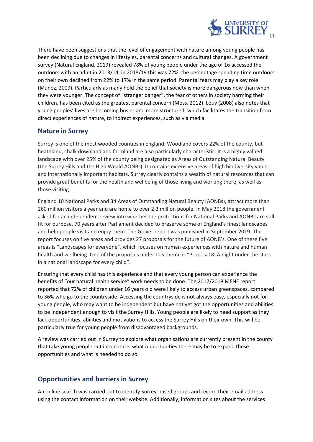

There have been suggestions that the level of engagement with nature among young people has been declining due to changes in lifestyles, parental concerns and cultural changes. A government survey (Natural England, 2019) revealed 78% of young people under the age of 16 accessed the outdoors with an adult in 2013/14, in 2018/19 this was 72%; the percentage spending time outdoors on their own declined from 22% to 17% in the same period. Parental fears may play a key role (Munoz, 2009). Particularly as many hold the belief that society is more dangerous now than when they were younger. The concept of "stranger danger", the fear of others in society harming their children, has been cited as the greatest parental concern (Moss, 2012). Louv (2008) also notes that young peoples' lives are becoming busier and more structured, which facilitates the transition from direct experiences of nature, to indirect experiences, such as via media.

#### **Nature in Surrey**

Surrey is one of the most wooded counties in England. Woodland covers 22% of the county, but heathland, chalk downland and farmland are also particularly characteristic. It is a highly valued landscape with over 25% of the county being designated as Areas of Outstanding Natural Beauty (the Surrey Hills and the High Weald AONBs). It contains extensive areas of high biodiversity value and internationally important habitats. Surrey clearly contains a wealth of natural resources that can provide great benefits for the health and wellbeing of those living and working there, as well as those visiting.

England 10 National Parks and 34 Areas of Outstanding Natural Beauty (AONBs), attract more than 260 million visitors a year and are home to over 2.3 million people. In May 2018 the government asked for an independent review into whether the protections for National Parks and AONBs are still fit for purpose, 70 years after Parliament decided to preserve some of England's finest landscapes and help people visit and enjoy them. The Glover report was published in September 2019. The report focuses on five areas and provides 27 proposals for the future of AONB's. One of these five areas is "Landscapes for everyone", which focuses on human experiences with nature and human health and wellbeing. One of the proposals under this theme is "Proposal 8: A night under the stars in a national landscape for every child".

Ensuring that every child has this experience and that every young person can experience the benefits of "our natural health service" work needs to be done. The 2017/2018 MENE report reported that 72% of children under 16 years old were likely to access urban greenspaces, compared to 36% who go to the countryside. Accessing the countryside is not always easy, especially not for young people, who may want to be independent but have not yet got the opportunities and abilities to be independent enough to visit the Surrey Hills. Young people are likely to need support as they lack opportunities, abilities and motivations to access the Surrey Hills on their own. This will be particularly true for young people from disadvantaged backgrounds.

A review was carried out in Surrey to explore what organisations are currently present in the county that take young people out into nature, what opportunities there may be to expand these opportunities and what is needed to do so.

#### **Opportunities and barriers in Surrey**

An online search was carried out to identify Surrey-based groups and record their email address using the contact information on their website. Additionally, information sites about the services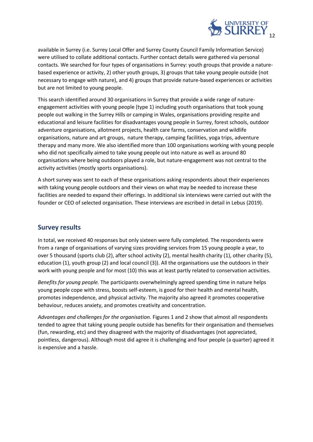

available in Surrey (i.e. Surrey Local Offer and Surrey County Council Family Information Service) were utilised to collate additional contacts. Further contact details were gathered via personal contacts. We searched for four types of organisations in Surrey: youth groups that provide a naturebased experience or activity, 2) other youth groups, 3) groups that take young people outside (not necessary to engage with nature), and 4) groups that provide nature-based experiences or activities but are not limited to young people.

This search identified around 30 organisations in Surrey that provide a wide range of natureengagement activities with young people (type 1) including youth organisations that took young people out walking in the Surrey Hills or camping in Wales, organisations providing respite and educational and leisure facilities for disadvantages young people in Surrey, forest schools, outdoor adventure organisations, allotment projects, health care farms, conservation and wildlife organisations, nature and art groups, nature therapy, camping facilities, yoga trips, adventure therapy and many more. We also identified more than 100 organisations working with young people who did not specifically aimed to take young people out into nature as well as around 80 organisations where being outdoors played a role, but nature-engagement was not central to the activity activities (mostly sports organisations).

A short survey was sent to each of these organisations asking respondents about their experiences with taking young people outdoors and their views on what may be needed to increase these facilities are needed to expand their offerings. In additional six interviews were carried out with the founder or CEO of selected organisation. These interviews are escribed in detail in Lebus (2019).

#### **Survey results**

In total, we received 40 responses but only sixteen were fully completed. The respondents were from a range of organisations of varying sizes providing services from 15 young people a year, to over 5 thousand (sports club (2), after school activity (2), mental health charity (1), other charity (5), education (1), youth group (2) and local council (3)). All the organisations use the outdoors in their work with young people and for most (10) this was at least partly related to conservation activities.

*Benefits for young people.* The participants overwhelmingly agreed spending time in nature helps young people cope with stress, boosts self-esteem, is good for their health and mental health, promotes independence, and physical activity. The majority also agreed it promotes cooperative behaviour, reduces anxiety, and promotes creativity and concentration.

*Advantages and challenges for the organisation.* Figures 1 and 2 show that almost all respondents tended to agree that taking young people outside has benefits for their organisation and themselves (fun, rewarding, etc) and they disagreed with the majority of disadvantages (not appreciated, pointless, dangerous). Although most did agree it is challenging and four people (a quarter) agreed it is expensive and a hassle.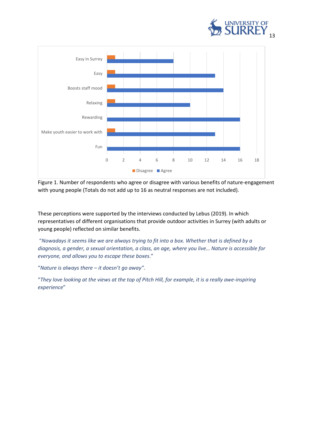



Figure 1. Number of respondents who agree or disagree with various benefits of nature-engagement with young people (Totals do not add up to 16 as neutral responses are not included).

These perceptions were supported by the interviews conducted by Lebus (2019). In which representatives of different organisations that provide outdoor activities in Surrey (with adults or young people) reflected on similar benefits.

"*Nowadays it seems like we are always trying to fit into a box. Whether that is defined by a diagnosis, a gender, a sexual orientation, a class, an age, where you live… Nature is accessible for everyone, and allows you to escape these boxes*."

"*Nature is always there – it doesn't go away".*

"*They love looking at the views at the top of Pitch Hill, for example, it is a really awe-inspiring experience*"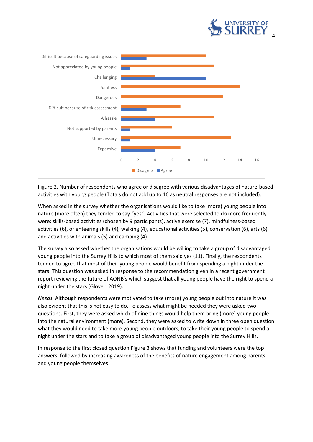



Figure 2. Number of respondents who agree or disagree with various disadvantages of nature-based activities with young people (Totals do not add up to 16 as neutral responses are not included).

When asked in the survey whether the organisations would like to take (more) young people into nature (more often) they tended to say "yes". Activities that were selected to do more frequently were: skills-based activities (chosen by 9 participants), active exercise (7), mindfulness-based activities (6), orienteering skills (4), walking (4), educational activities (5), conservation (6), arts (6) and activities with animals (5) and camping (4).

The survey also asked whether the organisations would be willing to take a group of disadvantaged young people into the Surrey Hills to which most of them said yes (11). Finally, the respondents tended to agree that most of their young people would benefit from spending a night under the stars. This question was asked in response to the recommendation given in a recent government report reviewing the future of AONB's which suggest that all young people have the right to spend a night under the stars (Glover, 2019).

*Needs.* Although respondents were motivated to take (more) young people out into nature it was also evident that this is not easy to do. To assess what might be needed they were asked two questions. First, they were asked which of nine things would help them bring (more) young people into the natural environment (more). Second, they were asked to write down in three open question what they would need to take more young people outdoors, to take their young people to spend a night under the stars and to take a group of disadvantaged young people into the Surrey Hills.

In response to the first closed question Figure 3 shows that funding and volunteers were the top answers, followed by increasing awareness of the benefits of nature engagement among parents and young people themselves.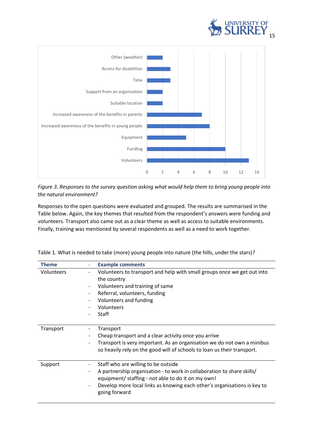



*Figure 3. Responses to the survey question asking what would help them to bring young people into the natural environment?*

Responses to the open questions were evaluated and grouped. The results are summarised in the Table below. Again, the key themes that resulted from the respondent's answers were funding and volunteers. Transport also came out as a clear theme as well as access to suitable environments. Finally, training was mentioned by several respondents as well as a need to work together.

| <b>Theme</b> |   | <b>Example comments</b>                                                  |
|--------------|---|--------------------------------------------------------------------------|
| Volunteers   | - | Volunteers to transport and help with small groups once we get out into  |
|              |   | the country                                                              |
|              | - | Volunteers and training of same                                          |
|              | - | Referral, volunteers, funding                                            |
|              |   | Volunteers and funding                                                   |
|              |   | Volunteers                                                               |
|              | - | Staff                                                                    |
|              |   |                                                                          |
| Transport    | - | Transport                                                                |
|              | - | Cheap transport and a clear activity once you arrive                     |
|              | - | Transport is very important. As an organisation we do not own a minibus  |
|              |   | so heavily rely on the good will of schools to loan us their transport.  |
|              |   |                                                                          |
| Support      | - | Staff who are willing to be outside                                      |
|              | - | A partnership organisation - to work in collaboration to share skills/   |
|              |   | equipment/ staffing - not able to do it on my own!                       |
|              | - | Develop more local links as knowing each other's organisations is key to |
|              |   | going forward                                                            |
|              |   |                                                                          |

Table 1. What is needed to take (more) young people into nature (the hills, under the stars)?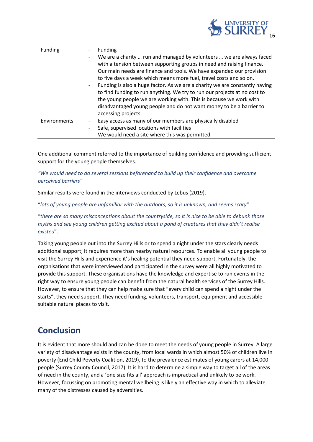

| Funding      | Funding<br>We are a charity  run and managed by volunteers  we are always faced<br>-<br>with a tension between supporting groups in need and raising finance.<br>Our main needs are finance and tools. We have expanded our provision<br>to five days a week which means more fuel, travel costs and so on.<br>Funding is also a huge factor. As we are a charity we are constantly having<br>to find funding to run anything. We try to run our projects at no cost to<br>the young people we are working with. This is because we work with<br>disadvantaged young people and do not want money to be a barrier to<br>accessing projects. |
|--------------|---------------------------------------------------------------------------------------------------------------------------------------------------------------------------------------------------------------------------------------------------------------------------------------------------------------------------------------------------------------------------------------------------------------------------------------------------------------------------------------------------------------------------------------------------------------------------------------------------------------------------------------------|
| Environments | Easy access as many of our members are physically disabled<br>Safe, supervised locations with facilities<br>We would need a site where this was permitted                                                                                                                                                                                                                                                                                                                                                                                                                                                                                   |

One additional comment referred to the importance of building confidence and providing sufficient support for the young people themselves.

*"We would need to do several sessions beforehand to build up their confidence and overcome perceived barriers"*

Similar results were found in the interviews conducted by Lebus (2019).

"*lots of young people are unfamiliar with the outdoors, so it is unknown, and seems scary"* 

"*there are so many misconceptions about the countryside, so it is nice to be able to debunk those myths and see young children getting excited about a pond of creatures that they didn't realise existed*".

Taking young people out into the Surrey Hills or to spend a night under the stars clearly needs additional support; it requires more than nearby natural resources. To enable all young people to visit the Surrey Hills and experience it's healing potential they need support. Fortunately, the organisations that were interviewed and participated in the survey were all highly motivated to provide this support. These organisations have the knowledge and expertise to run events in the right way to ensure young people can benefit from the natural health services of the Surrey Hills. However, to ensure that they can help make sure that "every child can spend a night under the starts", they need support. They need funding, volunteers, transport, equipment and accessible suitable natural places to visit.

### **Conclusion**

It is evident that more should and can be done to meet the needs of young people in Surrey. A large variety of disadvantage exists in the county, from local wards in which almost 50% of children live in poverty (End Child Poverty Coalition, 2019), to the prevalence estimates of young carers at 14,000 people (Surrey County Council, 2017). It is hard to determine a simple way to target all of the areas of need in the county, and a 'one size fits all' approach is impractical and unlikely to be work. However, focussing on promoting mental wellbeing is likely an effective way in which to alleviate many of the distresses caused by adversities.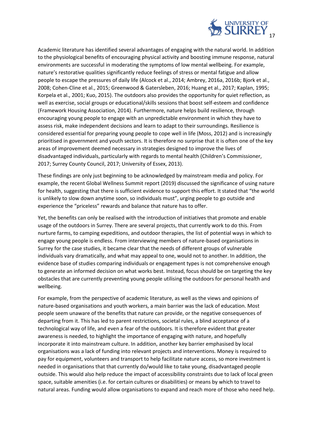

Academic literature has identified several advantages of engaging with the natural world. In addition to the physiological benefits of encouraging physical activity and boosting immune response, natural environments are successful in moderating the symptoms of low mental wellbeing. For example, nature's restorative qualities significantly reduce feelings of stress or mental fatigue and allow people to escape the pressures of daily life (Alcock et al., 2014; Ambrey, 2016a, 2016b; Bjork et al., 2008; Cohen-Cline et al., 2015; Greenwood & Gatersleben, 2016; Huang et al., 2017; Kaplan, 1995; Korpela et al., 2001; Kuo, 2015). The outdoors also provides the opportunity for quiet reflection, as well as exercise, social groups or educational/skills sessions that boost self-esteem and confidence (Framework Housing Association, 2014). Furthermore, nature helps build resilience, through encouraging young people to engage with an unpredictable environment in which they have to assess risk, make independent decisions and learn to adapt to their surroundings. Resilience is considered essential for preparing young people to cope well in life (Moss, 2012) and is increasingly prioritised in government and youth sectors. It is therefore no surprise that it is often one of the key areas of improvement deemed necessary in strategies designed to improve the lives of disadvantaged individuals, particularly with regards to mental health (Children's Commissioner, 2017; Surrey County Council, 2017; University of Essex, 2013).

These findings are only just beginning to be acknowledged by mainstream media and policy. For example, the recent Global Wellness Summit report (2019) discussed the significance of using nature for health, suggesting that there is sufficient evidence to support this effort. It stated that "the world is unlikely to slow down anytime soon, so individuals must", urging people to go outside and experience the "priceless" rewards and balance that nature has to offer.

Yet, the benefits can only be realised with the introduction of initiatives that promote and enable usage of the outdoors in Surrey. There are several projects, that currently work to do this. From nurture farms, to camping expeditions, and outdoor therapies, the list of potential ways in which to engage young people is endless. From interviewing members of nature-based organisations in Surrey for the case studies, it became clear that the needs of different groups of vulnerable individuals vary dramatically, and what may appeal to one, would not to another. In addition, the evidence base of studies comparing individuals or engagement types is not comprehensive enough to generate an informed decision on what works best. Instead, focus should be on targeting the key obstacles that are currently preventing young people utilising the outdoors for personal health and wellbeing.

For example, from the perspective of academic literature, as well as the views and opinions of nature-based organisations and youth workers, a main barrier was the lack of education. Most people seem unaware of the benefits that nature can provide, or the negative consequences of departing from it. This has led to parent restrictions, societal rules, a blind acceptance of a technological way of life, and even a fear of the outdoors. It is therefore evident that greater awareness is needed, to highlight the importance of engaging with nature, and hopefully incorporate it into mainstream culture. In addition, another key barrier emphasised by local organisations was a lack of funding into relevant projects and interventions. Money is required to pay for equipment, volunteers and transport to help facilitate nature access, so more investment is needed in organisations that that currently do/would like to take young, disadvantaged people outside. This would also help reduce the impact of accessibility constraints due to lack of local green space, suitable amenities (i.e. for certain cultures or disabilities) or means by which to travel to natural areas. Funding would allow organisations to expand and reach more of those who need help.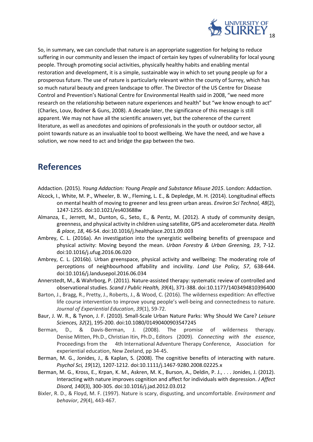

So, in summary, we can conclude that nature is an appropriate suggestion for helping to reduce suffering in our community and lessen the impact of certain key types of vulnerability for local young people. Through promoting social activities, physically healthy habits and enabling mental restoration and development, it is a simple, sustainable way in which to set young people up for a prosperous future. The use of nature is particularly relevant within the county of Surrey, which has so much natural beauty and green landscape to offer. The Director of the US Centre for Disease Control and Prevention's National Centre for Environmental Health said in 2008, "we need more research on the relationship between nature experiences and health" but "we know enough to act" (Charles, Louv, Bodner & Guns, 2008). A decade later, the significance of this message is still apparent. We may not have all the scientific answers yet, but the coherence of the current literature, as well as anecdotes and opinions of professionals in the youth or outdoor sector, all point towards nature as an invaluable tool to boost wellbeing. We have the need, and we have a solution, we now need to act and bridge the gap between the two.

## **References**

Addaction. (2015). *Young Addaction: Young People and Substance Misuse 2015*. London: Addaction.

- Alcock, I., White, M. P., Wheeler, B. W., Fleming, L. E., & Depledge, M. H. (2014). Longitudinal effects on mental health of moving to greener and less green urban areas. *Environ Sci Technol, 48*(2), 1247-1255. doi:10.1021/es403688w
- Almanza, E., Jerrett, M., Dunton, G., Seto, E., & Pentz, M. (2012). A study of community design, greenness, and physical activity in children using satellite, GPS and accelerometer data. *Health & place, 18*, 46-54. doi:10.1016/j.healthplace.2011.09.003
- Ambrey, C. L. (2016a). An investigation into the synergistic wellbeing benefits of greenspace and physical activity: Moving beyond the mean. *Urban Forestry & Urban Greening, 19*, 7-12. doi:10.1016/j.ufug.2016.06.020
- Ambrey, C. L. (2016b). Urban greenspace, physical activity and wellbeing: The moderating role of perceptions of neighbourhood affability and incivility. *Land Use Policy, 57*, 638-644. doi:10.1016/j.landusepol.2016.06.034
- Annerstedt, M., & Wahrborg, P. (2011). Nature-assisted therapy: systematic review of controlled and observational studies. *Scand J Public Health, 39*(4), 371-388. doi:10.1177/1403494810396400
- Barton, J., Bragg, R., Pretty, J., Roberts, J., & Wood, C. (2016). The wilderness expedition: An effective life course intervention to improve young people's well-being and connectedness to nature. *Journal of Experiential Education*, *39*(1), 59-72.
- Baur, J. W. R., & Tynon, J. F. (2010). Small-Scale Urban Nature Parks: Why Should We Care? *Leisure Sciences, 32*(2), 195-200. doi:10.1080/01490400903547245
- Berman, D., & Davis-Berman, J. (2008). The promise of wilderness therapy. Denise Mitten, Ph.D., Christian Itin, Ph.D., Editors (2009). *Connecting with the essence*, Proceedings from the 4th International Adventure Therapy Conference, Association for experiential education, New Zeeland, pp 34-45.
- Berman, M. G., Jonides, J., & Kaplan, S. (2008). The cognitive benefits of interacting with nature. *Psychol Sci, 19*(12), 1207-1212. doi:10.1111/j.1467-9280.2008.02225.x
- Berman, M. G., Kross, E., Krpan, K. M., Askren, M. K., Burson, A., Deldin, P. J., . . . Jonides, J. (2012). Interacting with nature improves cognition and affect for individuals with depression. *J Affect Disord, 140*(3), 300-305. doi:10.1016/j.jad.2012.03.012
- Bixler, R. D., & Floyd, M. F. (1997). Nature is scary, disgusting, and uncomfortable. *Environment and behavior*, *29*(4), 443-467.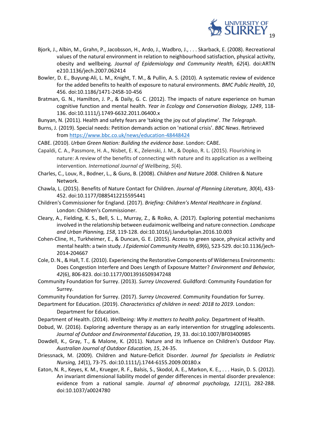

- Bjork, J., Albin, M., Grahn, P., Jacobsson, H., Ardo, J., Wadbro, J., . . . Skarback, E. (2008). Recreational values of the natural environment in relation to neighbourhood satisfaction, physical activity, obesity and wellbeing. *Journal of Epidemiology and Community Health, 62*(4). doi:ARTN e210.1136/jech.2007.062414
- Bowler, D. E., Buyung-Ali, L. M., Knight, T. M., & Pullin, A. S. (2010). A systematic review of evidence for the added benefits to health of exposure to natural environments. *BMC Public Health, 10*, 456. doi:10.1186/1471-2458-10-456
- Bratman, G. N., Hamilton, J. P., & Daily, G. C. (2012). The impacts of nature experience on human cognitive function and mental health. *Year in Ecology and Conservation Biology, 1249*, 118- 136. doi:10.1111/j.1749-6632.2011.06400.x
- Bunyan, N. (2011). Health and safety fears are 'taking the joy out of playtime'. *The Telegraph*.
- Burns, J. (2019). Special needs: Petition demands action on 'national crisis'. *BBC News*. Retrieved from<https://www.bbc.co.uk/news/education-48448424>
- CABE. (2010). *Urban Green Nation: Building the evidence base*. London: CABE.
- Capaldi, C. A., Passmore, H. A., Nisbet, E. K., Zelenski, J. M., & Dopko, R. L. (2015). Flourishing in nature: A review of the benefits of connecting with nature and its application as a wellbeing intervention. *International Journal of Wellbeing*, *5*(4).
- Charles, C., Louv, R., Bodner, L., & Guns, B. (2008). *Children and Nature 2008*. Children & Nature Network.
- Chawla, L. (2015). Benefits of Nature Contact for Children. *Journal of Planning Literature, 30*(4), 433- 452. doi:10.1177/0885412215595441
- Children's Commissioner for England. (2017). *Briefing: Children's Mental Healthcare in England*. London: Children's Commissioner.
- Cleary, A., Fielding, K. S., Bell, S. L., Murray, Z., & Roiko, A. (2017). Exploring potential mechanisms involved in the relationship between eudaimonic wellbeing and nature connection. *Landscape and Urban Planning, 158*, 119-128. doi:10.1016/j.landurbplan.2016.10.003
- Cohen-Cline, H., Turkheimer, E., & Duncan, G. E. (2015). Access to green space, physical activity and mental health: a twin study. *J Epidemiol Community Health, 69*(6), 523-529. doi:10.1136/jech-2014-204667
- Cole, D. N., & Hall, T. E. (2010). Experiencing the Restorative Components of Wilderness Environments: Does Congestion Interfere and Does Length of Exposure Matter? *Environment and Behavior, 42*(6), 806-823. doi:10.1177/0013916509347248
- Community Foundation for Surrey. (2013). *Surrey Uncovered*. Guildford: Community Foundation for Surrey.
- Community Foundation for Surrey. (2017). *Surrey Uncovered*. Community Foundation for Surrey.
- Department for Education. (2019). *Characteristics of children in need: 2018 to 2019*. London: Department for Education.
- Department of Health. (2014). *Wellbeing: Why it matters to health policy*. Department of Health.
- Dobud, W. (2016). Exploring adventure therapy as an early intervention for struggling adolescents. *Journal of Outdoor and Environmental Education, 19*, 33. doi:10.1007/BF03400985
- Dowdell, K., Gray, T., & Malone, K. (2011). Nature and its Influence on Children's Outdoor Play. *Australian Journal of Outdoor Education, 15*, 24-35.
- Driessnack, M. (2009). Children and Nature-Deficit Disorder. *Journal for Specialists in Pediatric Nursing, 14*(1), 73-75. doi:10.1111/j.1744-6155.2009.00180.x
- Eaton, N. R., Keyes, K. M., Krueger, R. F., Balsis, S., Skodol, A. E., Markon, K. E., . . . Hasin, D. S. (2012). An invariant dimensional liability model of gender differences in mental disorder prevalence: evidence from a national sample. *Journal of abnormal psychology, 121*(1), 282-288. doi:10.1037/a0024780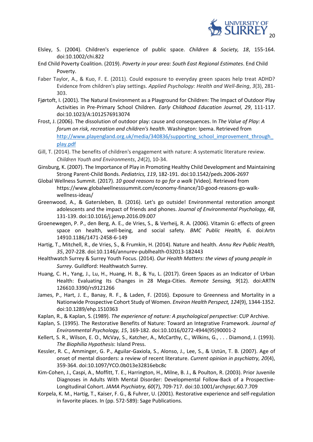

- Elsley, S. (2004). Children's experience of public space. *Children & Society, 18*, 155-164. doi:10.1002/chi.822
- End Child Poverty Coalition. (2019). *Poverty in your area: South East Regional Estimates*. End Child Poverty.
- Faber Taylor, A., & Kuo, F. E. (2011). Could exposure to everyday green spaces help treat ADHD? Evidence from children's play settings. *Applied Psychology: Health and Well‐Being*, *3*(3), 281- 303.
- Fjørtoft, I. (2001). The Natural Environment as a Playground for Children: The Impact of Outdoor Play Activities in Pre-Primary School Children. *Early Childhood Education Journal, 29*, 111-117. doi:10.1023/A:1012576913074
- Frost, J. (2006). The dissolution of outdoor play: cause and consequences. In *The Value of Play: A forum on risk, recreation and children's health*. Washington: Ipema. Retrieved from [http://www.playengland.org.uk/media/340836/supporting\\_school\\_improvement\\_through\\_](http://www.playengland.org.uk/media/340836/supporting_school_improvement_through_play.pdf) [play.pdf](http://www.playengland.org.uk/media/340836/supporting_school_improvement_through_play.pdf)
- Gill, T. (2014). The benefits of children's engagement with nature: A systematic literature review. *Children Youth and Environments*, *24*(2), 10-34.
- Ginsburg, K. (2007). The Importance of Play in Promoting Healthy Child Development and Maintaining Strong Parent-Child Bonds. *Pediatrics, 119*, 182-191. doi:10.1542/peds.2006-2697
- Global Wellness Summit. (2017). *10 good reasons to go for a walk* [Video]. Retrieved from https://www.globalwellnesssummit.com/economy-finance/10-good-reasons-go-walkwellness-ideas/
- Greenwood, A., & Gatersleben, B. (2016). Let's go outside! Environmental restoration amongst adolescents and the impact of friends and phones. *Journal of Environmental Psychology, 48*, 131-139. doi:10.1016/j.jenvp.2016.09.007
- Groenewegen, P. P., den Berg, A. E., de Vries, S., & Verheij, R. A. (2006). Vitamin G: effects of green space on health, well-being, and social safety. *BMC Public Health, 6*. doi:Artn 14910.1186/1471-2458-6-149
- Hartig, T., Mitchell, R., de Vries, S., & Frumkin, H. (2014). Nature and health. *Annu Rev Public Health, 35*, 207-228. doi:10.1146/annurev-publhealth-032013-182443
- Healthwatch Surrey & Surrey Youth Focus. (2014). *Our Health Matters: the views of young people in Surrey*. Guildford: Healthwatch Surrey.
- Huang, C. H., Yang, J., Lu, H., Huang, H. B., & Yu, L. (2017). Green Spaces as an Indicator of Urban Health: Evaluating Its Changes in 28 Mega-Cities. *Remote Sensing, 9*(12). doi:ARTN 126610.3390/rs9121266
- James, P., Hart, J. E., Banay, R. F., & Laden, F. (2016). Exposure to Greenness and Mortality in a Nationwide Prospective Cohort Study of Women. *Environ Health Perspect, 124*(9), 1344-1352. doi:10.1289/ehp.1510363
- Kaplan, R., & Kaplan, S. (1989). *The experience of nature: A psychological perspective*: CUP Archive.
- Kaplan, S. (1995). The Restorative Benefits of Nature: Toward an Integrative Framework. *Journal of Environmental Psychology, 15*, 169-182. doi:10.1016/0272-4944(95)90001-2
- Kellert, S. R., Wilson, E. O., McVay, S., Katcher, A., McCarthy, C., Wilkins, G., . . . Diamond, J. (1993). *The Biophilia Hypothesis*: Island Press.
- Kessler, R. C., Amminger, G. P., Aguilar-Gaxiola, S., Alonso, J., Lee, S., & Ustün, T. B. (2007). Age of onset of mental disorders: a review of recent literature. *Current opinion in psychiatry, 20*(4), 359-364. doi:10.1097/YCO.0b013e32816ebc8c
- Kim-Cohen, J., Caspi, A., Moffitt, T. E., Harrington, H., Milne, B. J., & Poulton, R. (2003). Prior Juvenile Diagnoses in Adults With Mental Disorder: Developmental Follow-Back of a Prospective-Longitudinal Cohort. *JAMA Psychiatry, 60*(7), 709-717. doi:10.1001/archpsyc.60.7.709
- Korpela, K. M., Hartig, T., Kaiser, F. G., & Fuhrer, U. (2001). Restorative experience and self-regulation in favorite places. In (pp. 572-589): Sage Publications.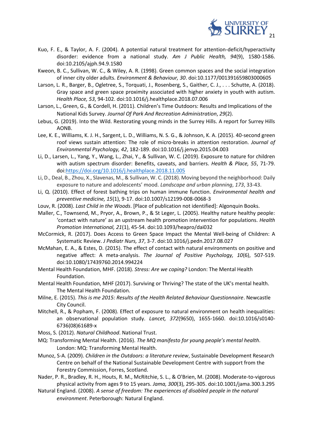

- Kuo, F. E., & Taylor, A. F. (2004). A potential natural treatment for attention-deficit/hyperactivity disorder: evidence from a national study. *Am J Public Health, 94*(9), 1580-1586. doi:10.2105/ajph.94.9.1580
- Kweon, B. C., Sullivan, W. C., & Wiley, A. R. (1998). Green common spaces and the social integration of inner city older adults. *Environment & Behaviour, 30*. doi:10.1177/001391659803000605
- Larson, L. R., Barger, B., Ogletree, S., Torquati, J., Rosenberg, S., Gaither, C. J., . . . Schutte, A. (2018). Gray space and green space proximity associated with higher anxiety in youth with autism. *Health Place, 53*, 94-102. doi:10.1016/j.healthplace.2018.07.006
- Larson, L., Green, G., & Cordell, H. (2011). Children's Time Outdoors: Results and Implications of the National Kids Survey. *Journal Of Park And Recreation Administration*, *29*(2).
- Lebus, G. (2019). Into the Wild. Restorating young minds in the Surrey Hills. A report for Surrey Hills AONB.
- Lee, K. E., Williams, K. J. H., Sargent, L. D., Williams, N. S. G., & Johnson, K. A. (2015). 40-second green roof views sustain attention: The role of micro-breaks in attention restoration. *Journal of Environmental Psychology, 42*, 182-189. doi:10.1016/j.jenvp.2015.04.003
- Li, D., Larsen, L., Yang, Y., Wang, L., Zhai, Y., & Sullivan, W. C. (2019). Exposure to nature for children with autism spectrum disorder: Benefits, caveats, and barriers. *Health & Place, 55*, 71-79. doi[:https://doi.org/10.1016/j.healthplace.2018.11.005](https://doi.org/10.1016/j.healthplace.2018.11.005)
- Li, D., Deal, B., Zhou, X., Slavenas, M., & Sullivan, W. C. (2018). Moving beyond the neighborhood: Daily exposure to nature and adolescents' mood. *Landscape and urban planning*, *173*, 33-43.
- Li, Q. (2010). Effect of forest bathing trips on human immune function. *Environmental health and preventive medicine, 15*(1), 9-17. doi:10.1007/s12199-008-0068-3
- Louv, R. (2008). *Last Child in the Woods*. [Place of publication not identified]: Algonquin Books.
- Maller, C., Townsend, M., Pryor, A., Brown, P., & St Leger, L. (2005). Healthy nature healthy people: 'contact with nature' as an upstream health promotion intervention for populations. *Health Promotion International, 21*(1), 45-54. doi:10.1093/heapro/dai032
- McCormick, R. (2017). Does Access to Green Space Impact the Mental Well-being of Children: A Systematic Review. *J Pediatr Nurs, 37*, 3-7. doi:10.1016/j.pedn.2017.08.027
- McMahan, E. A., & Estes, D. (2015). The effect of contact with natural environments on positive and negative affect: A meta-analysis. *The Journal of Positive Psychology, 10*(6), 507-519. doi:10.1080/17439760.2014.994224
- Mental Health Foundation, MHF. (2018). *Stress: Are we coping?* London: The Mental Health Foundation.
- Mental Health Foundation, MHF (2017). Surviving or Thriving? The state of the UK's mental health. The Mental Health Foundation.
- Milne, E. (2015). *This is me 2015: Results of the Health Related Behaviour Questionnaire*. Newcastle City Council.
- Mitchell, R., & Popham, F. (2008). Effect of exposure to natural environment on health inequalities: an observational population study. *Lancet, 372*(9650), 1655-1660. doi:10.1016/s0140- 6736(08)61689-x
- Moss, S. (2012). *Natural Childhood*. National Trust.
- MQ: Transforming Mental Health. (2016). *The MQ manifesto for young people's mental health*. London: MQ: Transforming Mental Health.
- Munoz, S-A. (2009). *Children in the Outdoors: a literature review*, Sustainable Development Research Centre on behalf of the National Sustainable Development Centre with support from the Forestry Commission, Forres, Scotland.
- Nader, P. R., Bradley, R. H., Houts, R. M., McRitchie, S. L., & O'Brien, M. (2008). Moderate-to-vigorous physical activity from ages 9 to 15 years. *Jama, 300*(3), 295-305. doi:10.1001/jama.300.3.295
- Natural England. (2008). *A sense of freedom: The experiences of disabled people in the natural environment*. Peterborough: Natural England.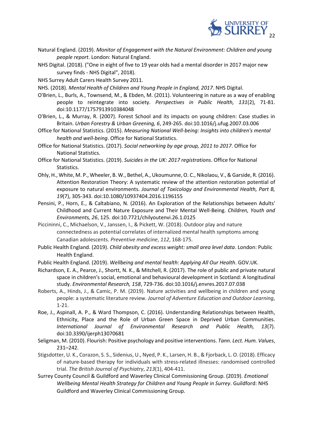

- Natural England. (2019). *Monitor of Engagement with the Natural Environment: Children and young people report*. London: Natural England.
- NHS Digital. (2018). ("One in eight of five to 19 year olds had a mental disorder in 2017 major new survey finds - NHS Digital", 2018).

NHS Surrey Adult Carers Health Survey 2011.

NHS. (2018). *Mental Health of Children and Young People in England, 2017*. NHS Digital.

- O'Brien, L., Burls, A., Townsend, M., & Ebden, M. (2011). Volunteering in nature as a way of enabling people to reintegrate into society. *Perspectives in Public Health, 131*(2), 71-81. doi:10.1177/1757913910384048
- O'Brien, L., & Murray, R. (2007). Forest School and its impacts on young children: Case studies in Britain. *Urban Forestry & Urban Greening, 6*, 249-265. doi:10.1016/j.ufug.2007.03.006
- Office for National Statistics. (2015). *Measuring National Well-being: Insights into children's mental health and well-being*. Office for National Statistics.
- Office for National Statistics. (2017). *Social networking by age group, 2011 to 2017*. Office for National Statistics.
- Office for National Statistics. (2019). *Suicides in the UK: 2017 registrations*. Office for National Statistics.
- Ohly, H., White, M. P., Wheeler, B. W., Bethel, A., Ukoumunne, O. C., Nikolaou, V., & Garside, R. (2016). Attention Restoration Theory: A systematic review of the attention restoration potential of exposure to natural environments. *Journal of Toxicology and Environmental Health, Part B, 19*(7), 305-343. doi:10.1080/10937404.2016.1196155
- Pensini, P., Horn, E., & Caltabiano, N. (2016). An Exploration of the Relationships between Adults' Childhood and Current Nature Exposure and Their Mental Well-Being. *Children, Youth and Environments, 26*, 125. doi:10.7721/chilyoutenvi.26.1.0125
- Piccininni, C., Michaelson, V., Janssen, I., & Pickett, W. (2018). Outdoor play and nature connectedness as potential correlates of internalized mental health symptoms among Canadian adolescents. *Preventive medicine*, *112*, 168-175.
- Public Health England. (2019). *Child obesity and excess weight: small area level data*. London: Public Health England.
- Public Health England. (2019). *Wellbeing and mental health: Applying All Our Health*. GOV.UK.
- Richardson, E. A., Pearce, J., Shortt, N. K., & Mitchell, R. (2017). The role of public and private natural space in children's social, emotional and behavioural development in Scotland: A longitudinal study. *Environmental Research, 158*, 729-736. doi:10.1016/j.envres.2017.07.038
- Roberts, A., Hinds, J., & Camic, P. M. (2019). Nature activities and wellbeing in children and young people: a systematic literature review. *Journal of Adventure Education and Outdoor Learning*, 1-21.
- Roe, J., Aspinall, A. P., & Ward Thompson, C. (2016). Understanding Relationships between Health, Ethnicity, Place and the Role of Urban Green Space in Deprived Urban Communities. *International Journal of Environmental Research and Public Health, 13*(7). doi:10.3390/ijerph13070681
- Seligman, M. (2010). Flourish: Positive psychology and positive interventions. *Tann. Lect. Hum. Values*, 231–242.
- Stigsdotter, U. K., Corazon, S. S., Sidenius, U., Nyed, P. K., Larsen, H. B., & Fjorback, L. O. (2018). Efficacy of nature-based therapy for individuals with stress-related illnesses: randomised controlled trial. *The British Journal of Psychiatry*, *213*(1), 404-411.
- Surrey County Council & Guildford and Waverley Clinical Commissioning Group. (2019). *Emotional Wellbeing Mental Health Strategy for Children and Young People in Surrey*. Guildford: NHS Guildford and Waverley Clinical Commissioning Group.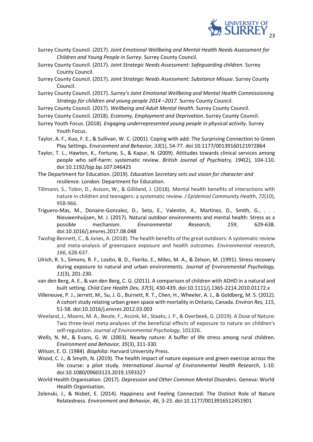

- Surrey County Council. (2017). *Joint Emotional Wellbeing and Mental Health Needs Assessment for Children and Young People in Surrey*. Surrey County Council.
- Surrey County Council. (2017). *Joint Strategic Needs Assessment: Safeguarding children*. Surrey County Council.
- Surrey County Council. (2017). *Joint Strategic Needs Assessment: Substance Misuse*. Surrey County Council.
- Surrey County Council. (2017). *Surrey's Joint Emotional Wellbeing and Mental Health Commissioning Strategy for children and young people 2014 –2017*. Surrey County Council.
- Surrey County Council. (2017). *Wellbeing and Adult Mental Health*. Surrey County Council.
- Surrey County Council. (2018). *Economy, Employment and Deprivation*. Surrey County Council.
- Surrey Youth Focus. (2018). *Engaging underrepresented young people in physical activity*. Surrey Youth Focus.
- Taylor, A. F., Kuo, F. E., & Sullivan, W. C. (2001). Coping with add: The Surprising Connection to Green Play Settings. *Environment and Behavior, 33*(1), 54-77. doi:10.1177/00139160121972864
- Taylor, T. L., Hawton, K., Fortune, S., & Kapur, N. (2009). Attitudes towards clinical services among people who self-harm: systematic review. *British Journal of Psychiatry, 194*(2), 104-110. doi:10.1192/bjp.bp.107.046425
- The Department for Education. (2019). *Education Secretary sets out vision for character and resilience*. London: Department for Education.
- Tillmann, S., Tobin, D., Avison, W., & Gilliland, J. (2018). Mental health benefits of interactions with nature in children and teenagers: a systematic review. *J Epidemiol Community Health*, *72*(10), 958-966.
- Triguero-Mas, M., Donaire-Gonzalez, D., Seto, E., Valentin, A., Martinez, D., Smith, G., . . . Nieuwenhuijsen, M. J. (2017). Natural outdoor environments and mental health: Stress as a possible mechanism. *Environmental Research, 159*, 629-638. doi:10.1016/j.envres.2017.08.048
- Twohig-Bennett, C., & Jones, A. (2018). The health benefits of the great outdoors: A systematic review and meta-analysis of greenspace exposure and health outcomes. *Environmental research*, *166*, 628-637.
- Ulrich, R. S., Simons, R. F., Losito, B. D., Fiorito, E., Miles, M. A., & Zelson, M. (1991). Stress recovery during exposure to natural and urban environments. *Journal of Environmental Psychology, 11*(3), 201-230.
- van den Berg, A. E., & van den Berg, C. G. (2011). A comparison of children with ADHD in a natural and built setting. *Child Care Health Dev, 37*(3), 430-439. doi:10.1111/j.1365-2214.2010.01172.x
- Villeneuve, P. J., Jerrett, M., Su, J. G., Burnett, R. T., Chen, H., Wheeler, A. J., & Goldberg, M. S. (2012). A cohort study relating urban green space with mortality in Ontario, Canada. *Environ Res, 115*, 51-58. doi:10.1016/j.envres.2012.03.003
- Weeland, J., Moens, M. A., Beute, F., Assink, M., Staaks, J. P., & Overbeek, G. (2019). A Dose of Nature: Two three-level meta-analyses of the beneficial effects of exposure to nature on children's self-regulation. *Journal of Environmental Psychology*, 101326.
- Wells, N. M., & Evans, G. W. (2003). Nearby nature: A buffer of life stress among rural children. *Environment and Behavior, 35*(3), 311-330.
- Wilson, E. O. (1984). *Biophilia*: Harvard University Press.
- Wood, C. J., & Smyth, N. (2019). The health impact of nature exposure and green exercise across the life course: a pilot study. *International Journal of Environmental Health Research*, 1-10. doi:10.1080/09603123.2019.1593327
- World Health Organisation. (2017). *Depression and Other Common Mental Disorders*. Geneva: World Health Organisation.
- Zelenski, J., & Nisbet, E. (2014). Happiness and Feeling Connected: The Distinct Role of Nature Relatedness. *Environment and Behavior, 46*, 3-23. doi:10.1177/0013916512451901